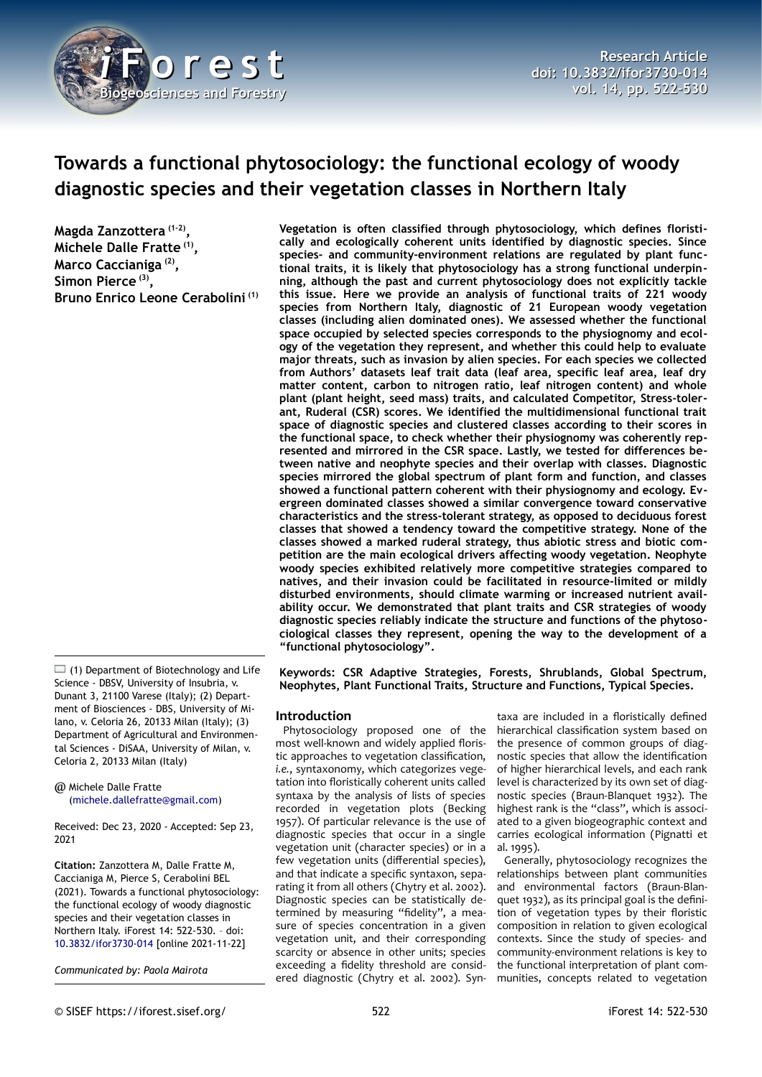

# **Towards a functional phytosociology: the functional ecology of woody diagnostic species and their vegetation classes in Northern Italy**

**Magda Zanzottera (1-2) , Michele Dalle Fratte (1) , Marco Caccianiga (2) , Simon Pierce (3) , Bruno Enrico Leone Cerabolini (1)**

 $\Box$  (1) Department of Biotechnology and Life Science - DBSV, University of Insubria, v. Dunant 3, 21100 Varese (Italy); (2) Department of Biosciences - DBS, University of Milano, v. Celoria 26, 20133 Milan (Italy); (3) Department of Agricultural and Environmental Sciences - DiSAA, University of Milan, v. Celoria 2, 20133 Milan (Italy)

@ Michele Dalle Fratte ([michele.dallefratte@gmail.com](mailto:michele.dallefratte@gmail.com))

Received: Dec 23, 2020 - Accepted: Sep 23, 2021

**Citation:** Zanzottera M, Dalle Fratte M, Caccianiga M, Pierce S, Cerabolini BEL (2021). Towards a functional phytosociology: the functional ecology of woody diagnostic species and their vegetation classes in Northern Italy. iForest 14: 522-530. – doi: [10.3832/ifor3730-014](http://www.sisef.it/iforest/contents/?id=ifor3730-014) [online 2021-11-22]

*Communicated by: Paola Mairota*

**Vegetation is often classified through phytosociology, which defines floristically and ecologically coherent units identified by diagnostic species. Since species- and community-environment relations are regulated by plant functional traits, it is likely that phytosociology has a strong functional underpinning, although the past and current phytosociology does not explicitly tackle this issue. Here we provide an analysis of functional traits of 221 woody species from Northern Italy, diagnostic of 21 European woody vegetation classes (including alien dominated ones). We assessed whether the functional space occupied by selected species corresponds to the physiognomy and ecology of the vegetation they represent, and whether this could help to evaluate major threats, such as invasion by alien species. For each species we collected from Authors' datasets leaf trait data (leaf area, specific leaf area, leaf dry matter content, carbon to nitrogen ratio, leaf nitrogen content) and whole plant (plant height, seed mass) traits, and calculated Competitor, Stress-tolerant, Ruderal (CSR) scores. We identified the multidimensional functional trait space of diagnostic species and clustered classes according to their scores in the functional space, to check whether their physiognomy was coherently represented and mirrored in the CSR space. Lastly, we tested for differences between native and neophyte species and their overlap with classes. Diagnostic species mirrored the global spectrum of plant form and function, and classes showed a functional pattern coherent with their physiognomy and ecology. Evergreen dominated classes showed a similar convergence toward conservative characteristics and the stress-tolerant strategy, as opposed to deciduous forest classes that showed a tendency toward the competitive strategy. None of the classes showed a marked ruderal strategy, thus abiotic stress and biotic competition are the main ecological drivers affecting woody vegetation. Neophyte woody species exhibited relatively more competitive strategies compared to natives, and their invasion could be facilitated in resource-limited or mildly disturbed environments, should climate warming or increased nutrient availability occur. We demonstrated that plant traits and CSR strategies of woody diagnostic species reliably indicate the structure and functions of the phytosociological classes they represent, opening the way to the development of a "functional phytosociology".**

**Keywords: CSR Adaptive Strategies, Forests, Shrublands, Global Spectrum, Neophytes, Plant Functional Traits, Structure and Functions, Typical Species.**

## **Introduction**

Phytosociology proposed one of the most well-known and widely applied floristic approaches to vegetation classification, *i.e.*, syntaxonomy, which categorizes vegetation into floristically coherent units called syntaxa by the analysis of lists of species recorded in vegetation plots (Becking 1957). Of particular relevance is the use of diagnostic species that occur in a single vegetation unit (character species) or in a few vegetation units (differential species), and that indicate a specific syntaxon, separating it from all others (Chytry et al. 2002). Diagnostic species can be statistically determined by measuring "fidelity", a measure of species concentration in a given vegetation unit, and their corresponding scarcity or absence in other units; species exceeding a fidelity threshold are considered diagnostic (Chytry et al. 2002). Syn-

taxa are included in a floristically defined hierarchical classification system based on the presence of common groups of diagnostic species that allow the identification of higher hierarchical levels, and each rank level is characterized by its own set of diagnostic species (Braun-Blanquet 1932). The highest rank is the "class", which is associated to a given biogeographic context and carries ecological information (Pignatti et al. 1995).

Generally, phytosociology recognizes the relationships between plant communities and environmental factors (Braun-Blanquet 1932), as its principal goal is the definition of vegetation types by their floristic composition in relation to given ecological contexts. Since the study of species- and community-environment relations is key to the functional interpretation of plant communities, concepts related to vegetation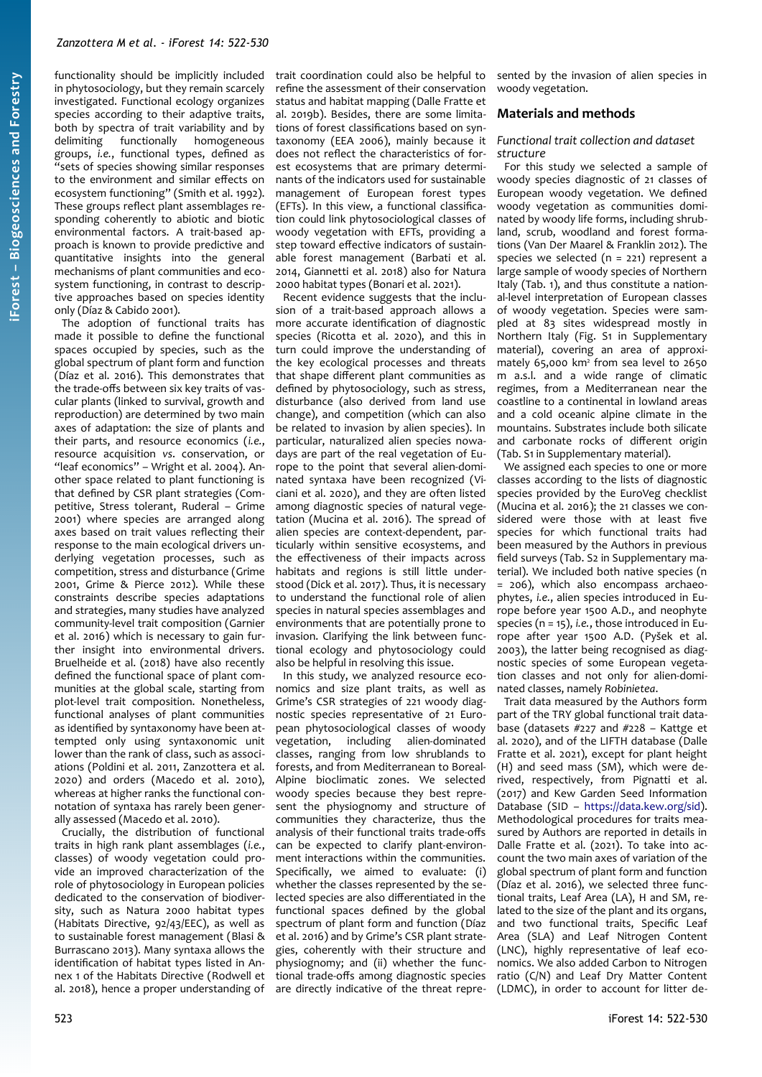functionality should be implicitly included in phytosociology, but they remain scarcely investigated. Functional ecology organizes species according to their adaptive traits, both by spectra of trait variability and by delimiting functionally homogeneous groups, *i.e.*, functional types, defined as "sets of species showing similar responses to the environment and similar effects on ecosystem functioning" (Smith et al. 1992). These groups reflect plant assemblages responding coherently to abiotic and biotic environmental factors. A trait-based approach is known to provide predictive and quantitative insights into the general mechanisms of plant communities and ecosystem functioning, in contrast to descriptive approaches based on species identity only (Díaz & Cabido 2001).

The adoption of functional traits has made it possible to define the functional spaces occupied by species, such as the global spectrum of plant form and function (Díaz et al. 2016). This demonstrates that the trade-offs between six key traits of vascular plants (linked to survival, growth and reproduction) are determined by two main axes of adaptation: the size of plants and their parts, and resource economics (*i.e.*, resource acquisition *vs*. conservation, or "leaf economics" – Wright et al. 2004). Another space related to plant functioning is that defined by CSR plant strategies (Competitive, Stress tolerant, Ruderal – Grime 2001) where species are arranged along axes based on trait values reflecting their response to the main ecological drivers underlying vegetation processes, such as competition, stress and disturbance (Grime 2001, Grime & Pierce 2012). While these constraints describe species adaptations and strategies, many studies have analyzed community-level trait composition (Garnier et al. 2016) which is necessary to gain further insight into environmental drivers. Bruelheide et al. (2018) have also recently defined the functional space of plant communities at the global scale, starting from plot-level trait composition. Nonetheless, functional analyses of plant communities as identified by syntaxonomy have been attempted only using syntaxonomic unit lower than the rank of class, such as associations (Poldini et al. 2011, Zanzottera et al. 2020) and orders (Macedo et al. 2010), whereas at higher ranks the functional connotation of syntaxa has rarely been generally assessed (Macedo et al. 2010).

Crucially, the distribution of functional traits in high rank plant assemblages (*i.e.*, classes) of woody vegetation could provide an improved characterization of the role of phytosociology in European policies dedicated to the conservation of biodiversity, such as Natura 2000 habitat types (Habitats Directive, 92/43/EEC), as well as to sustainable forest management (Blasi & Burrascano 2013). Many syntaxa allows the identification of habitat types listed in Annex 1 of the Habitats Directive (Rodwell et al. 2018), hence a proper understanding of

trait coordination could also be helpful to refine the assessment of their conservation status and habitat mapping (Dalle Fratte et al. 2019b). Besides, there are some limitations of forest classifications based on syntaxonomy (EEA 2006), mainly because it does not reflect the characteristics of forest ecosystems that are primary determinants of the indicators used for sustainable management of European forest types (EFTs). In this view, a functional classification could link phytosociological classes of woody vegetation with EFTs, providing a step toward effective indicators of sustainable forest management (Barbati et al. 2014, Giannetti et al. 2018) also for Natura 2000 habitat types (Bonari et al. 2021).

Recent evidence suggests that the inclusion of a trait-based approach allows a more accurate identification of diagnostic species (Ricotta et al. 2020), and this in turn could improve the understanding of the key ecological processes and threats that shape different plant communities as defined by phytosociology, such as stress, disturbance (also derived from land use change), and competition (which can also be related to invasion by alien species). In particular, naturalized alien species nowadays are part of the real vegetation of Europe to the point that several alien-dominated syntaxa have been recognized (Viciani et al. 2020), and they are often listed among diagnostic species of natural vegetation (Mucina et al. 2016). The spread of alien species are context-dependent, particularly within sensitive ecosystems, and the effectiveness of their impacts across habitats and regions is still little understood (Dick et al. 2017). Thus, it is necessary to understand the functional role of alien species in natural species assemblages and environments that are potentially prone to invasion. Clarifying the link between functional ecology and phytosociology could also be helpful in resolving this issue.

In this study, we analyzed resource economics and size plant traits, as well as Grime's CSR strategies of 221 woody diagnostic species representative of 21 European phytosociological classes of woody vegetation, including alien-dominated classes, ranging from low shrublands to forests, and from Mediterranean to Boreal-Alpine bioclimatic zones. We selected woody species because they best represent the physiognomy and structure of communities they characterize, thus the analysis of their functional traits trade-offs can be expected to clarify plant-environment interactions within the communities. Specifically, we aimed to evaluate: (i) whether the classes represented by the selected species are also differentiated in the functional spaces defined by the global spectrum of plant form and function (Díaz et al. 2016) and by Grime's CSR plant strategies, coherently with their structure and physiognomy; and (ii) whether the functional trade-offs among diagnostic species are directly indicative of the threat repre-

sented by the invasion of alien species in woody vegetation.

### **Materials and methods**

#### *Functional trait collection and dataset structure*

For this study we selected a sample of woody species diagnostic of 21 classes of European woody vegetation. We defined woody vegetation as communities dominated by woody life forms, including shrubland, scrub, woodland and forest formations (Van Der Maarel & Franklin 2012). The species we selected (n = 221) represent a large sample of woody species of Northern Italy ([Tab. 1\)](#page-2-0), and thus constitute a national-level interpretation of European classes of woody vegetation. Species were sampled at 83 sites widespread mostly in Northern Italy (Fig. S1 in Supplementary material), covering an area of approximately 65,000 km<sup>2</sup> from sea level to 2650 m a.s.l. and a wide range of climatic regimes, from a Mediterranean near the coastline to a continental in lowland areas and a cold oceanic alpine climate in the mountains. Substrates include both silicate and carbonate rocks of different origin (Tab. S1 in Supplementary material).

We assigned each species to one or more classes according to the lists of diagnostic species provided by the EuroVeg checklist (Mucina et al. 2016); the 21 classes we considered were those with at least five species for which functional traits had been measured by the Authors in previous field surveys (Tab. S2 in Supplementary material). We included both native species (n = 206), which also encompass archaeophytes, *i.e.*, alien species introduced in Europe before year 1500 A.D., and neophyte species (n = 15), *i.e.*, those introduced in Europe after year 1500 A.D. (Pyšek et al. 2003), the latter being recognised as diagnostic species of some European vegetation classes and not only for alien-dominated classes, namely *Robinietea*.

Trait data measured by the Authors form part of the TRY global functional trait database (datasets #227 and #228 – Kattge et al. 2020), and of the LIFTH database (Dalle Fratte et al. 2021), except for plant height (H) and seed mass (SM), which were derived, respectively, from Pignatti et al. (2017) and Kew Garden Seed Information Database (SID – <https://data.kew.org/sid>). Methodological procedures for traits measured by Authors are reported in details in Dalle Fratte et al. (2021). To take into account the two main axes of variation of the global spectrum of plant form and function (Díaz et al. 2016), we selected three functional traits, Leaf Area (LA), H and SM, related to the size of the plant and its organs, and two functional traits, Specific Leaf Area (SLA) and Leaf Nitrogen Content (LNC), highly representative of leaf economics. We also added Carbon to Nitrogen ratio (C/N) and Leaf Dry Matter Content (LDMC), in order to account for litter de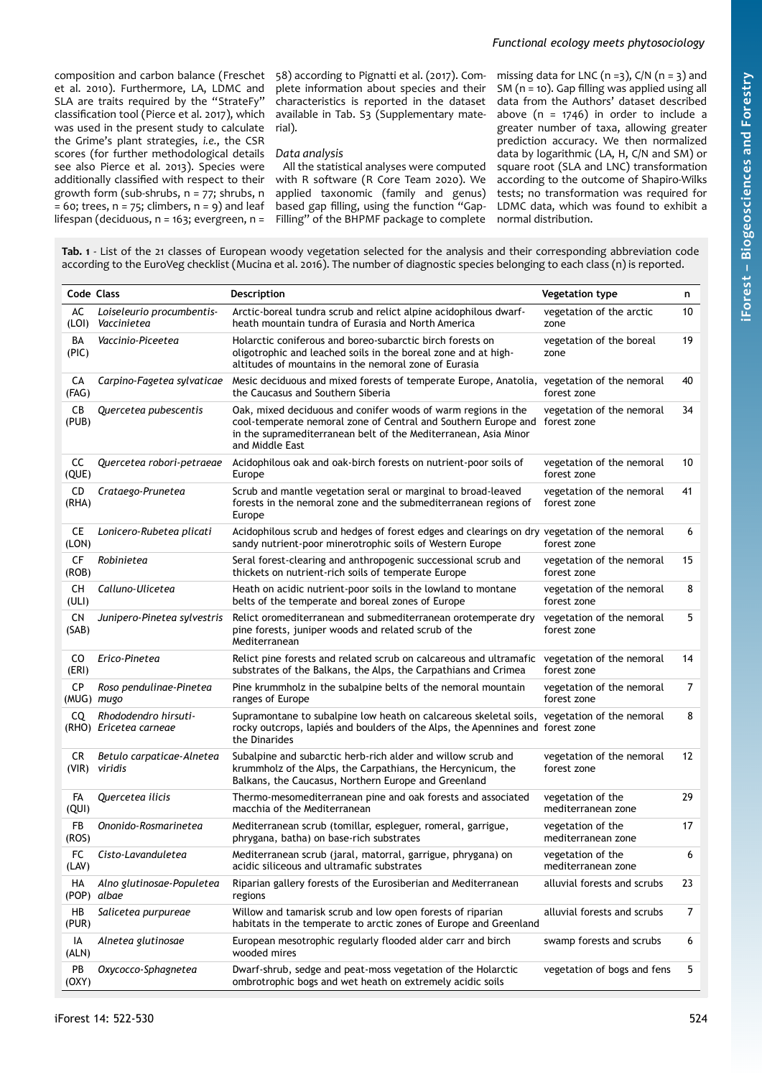composition and carbon balance (Freschet et al. 2010). Furthermore, LA, LDMC and SLA are traits required by the "StrateFy" classification tool (Pierce et al. 2017), which was used in the present study to calculate the Grime's plant strategies, *i.e.*, the CSR scores (for further methodological details see also Pierce et al. 2013). Species were additionally classified with respect to their growth form (sub-shrubs, n = 77; shrubs, n  $= 60$ ; trees,  $n = 75$ ; climbers,  $n = 9$ ) and leaf lifespan (deciduous, n = 163; evergreen, n =

58) according to Pignatti et al. (2017). Complete information about species and their characteristics is reported in the dataset available in Tab. S3 (Supplementary material).

## *Data analysis*

All the statistical analyses were computed with R software (R Core Team 2020). We applied taxonomic (family and genus) based gap filling, using the function "Gap-Filling" of the BHPMF package to complete

missing data for LNC ( $n = 3$ ), C/N ( $n = 3$ ) and SM (n = 10). Gap filling was applied using all data from the Authors' dataset described above ( $n = 1746$ ) in order to include a greater number of taxa, allowing greater prediction accuracy. We then normalized data by logarithmic (LA, H, C/N and SM) or square root (SLA and LNC) transformation according to the outcome of Shapiro-Wilks tests; no transformation was required for LDMC data, which was found to exhibit a normal distribution.

<span id="page-2-0"></span>

| Tab. 1 - List of the 21 classes of European woody vegetation selected for the analysis and their corresponding abbreviation code   |  |
|------------------------------------------------------------------------------------------------------------------------------------|--|
| according to the EuroVeg checklist (Mucina et al. 2016). The number of diagnostic species belonging to each class (n) is reported. |  |

| Code Class         |                                                | <b>Description</b>                                                                                                                                                                                                    | <b>Vegetation type</b>                   | n  |
|--------------------|------------------------------------------------|-----------------------------------------------------------------------------------------------------------------------------------------------------------------------------------------------------------------------|------------------------------------------|----|
| AC<br>(LOI)        | Loiseleurio procumbentis-<br>Vaccinietea       | Arctic-boreal tundra scrub and relict alpine acidophilous dwarf-<br>heath mountain tundra of Eurasia and North America                                                                                                | vegetation of the arctic<br>zone         | 10 |
| BA<br>(PIC)        | Vaccinio-Piceetea                              | Holarctic coniferous and boreo-subarctic birch forests on<br>oligotrophic and leached soils in the boreal zone and at high-<br>altitudes of mountains in the nemoral zone of Eurasia                                  | vegetation of the boreal<br>zone         | 19 |
| CА<br>(FAG)        | Carpino-Fagetea sylvaticae                     | Mesic deciduous and mixed forests of temperate Europe, Anatolia,<br>the Caucasus and Southern Siberia                                                                                                                 | vegetation of the nemoral<br>forest zone | 40 |
| CB<br>(PUB)        | Quercetea pubescentis                          | Oak, mixed deciduous and conifer woods of warm regions in the<br>cool-temperate nemoral zone of Central and Southern Europe and<br>in the supramediterranean belt of the Mediterranean, Asia Minor<br>and Middle East | vegetation of the nemoral<br>forest zone | 34 |
| CС<br>(QUE)        | Quercetea robori-petraeae                      | Acidophilous oak and oak-birch forests on nutrient-poor soils of<br>Europe                                                                                                                                            | vegetation of the nemoral<br>forest zone | 10 |
| CD<br>(RHA)        | Crataego-Prunetea                              | Scrub and mantle vegetation seral or marginal to broad-leaved<br>forests in the nemoral zone and the submediterranean regions of<br>Europe                                                                            | vegetation of the nemoral<br>forest zone | 41 |
| <b>CE</b><br>(LON) | Lonicero-Rubetea plicati                       | Acidophilous scrub and hedges of forest edges and clearings on dry vegetation of the nemoral<br>sandy nutrient-poor minerotrophic soils of Western Europe                                                             | forest zone                              | 6  |
| <b>CF</b><br>(ROB) | Robinietea                                     | Seral forest-clearing and anthropogenic successional scrub and<br>thickets on nutrient-rich soils of temperate Europe                                                                                                 | vegetation of the nemoral<br>forest zone | 15 |
| CH<br>(ULI)        | Calluno-Ulicetea                               | Heath on acidic nutrient-poor soils in the lowland to montane<br>belts of the temperate and boreal zones of Europe                                                                                                    | vegetation of the nemoral<br>forest zone | 8  |
| <b>CN</b><br>(SAB) | Junipero-Pinetea sylvestris                    | Relict oromediterranean and submediterranean orotemperate dry<br>pine forests, juniper woods and related scrub of the<br>Mediterranean                                                                                | vegetation of the nemoral<br>forest zone | 5  |
| CO.<br>(ERI)       | Erico-Pinetea                                  | Relict pine forests and related scrub on calcareous and ultramafic vegetation of the nemoral<br>substrates of the Balkans, the Alps, the Carpathians and Crimea                                                       | forest zone                              | 14 |
| СP                 | Roso pendulinae-Pinetea<br>(MUG) mugo          | Pine krummholz in the subalpine belts of the nemoral mountain<br>ranges of Europe                                                                                                                                     | vegetation of the nemoral<br>forest zone | 7  |
| CQ                 | Rhododendro hirsuti-<br>(RHO) Ericetea carneae | Supramontane to subalpine low heath on calcareous skeletal soils, vegetation of the nemoral<br>rocky outcrops, lapiés and boulders of the Alps, the Apennines and forest zone<br>the Dinarides                        |                                          | 8  |
| CR                 | Betulo carpaticae-Alnetea<br>(VIR) viridis     | Subalpine and subarctic herb-rich alder and willow scrub and<br>krummholz of the Alps, the Carpathians, the Hercynicum, the<br>Balkans, the Caucasus, Northern Europe and Greenland                                   | vegetation of the nemoral<br>forest zone | 12 |
| FA<br>(QUI)        | Quercetea ilicis                               | Thermo-mesomediterranean pine and oak forests and associated<br>macchia of the Mediterranean                                                                                                                          | vegetation of the<br>mediterranean zone  | 29 |
| FB<br>(ROS)        | Ononido-Rosmarinetea                           | Mediterranean scrub (tomillar, espleguer, romeral, garrigue,<br>phrygana, batha) on base-rich substrates                                                                                                              | vegetation of the<br>mediterranean zone  | 17 |
| FC<br>(LAV)        | Cisto-Lavanduletea                             | Mediterranean scrub (jaral, matorral, garrigue, phrygana) on<br>acidic siliceous and ultramafic substrates                                                                                                            | vegetation of the<br>mediterranean zone  | 6  |
| HА                 | Alno glutinosae-Populetea<br>(POP) albae       | Riparian gallery forests of the Eurosiberian and Mediterranean<br>regions                                                                                                                                             | alluvial forests and scrubs              | 23 |
| HВ<br>(PUR)        | Salicetea purpureae                            | Willow and tamarisk scrub and low open forests of riparian<br>habitats in the temperate to arctic zones of Europe and Greenland                                                                                       | alluvial forests and scrubs              | 7  |
| IA<br>(ALN)        | Alnetea glutinosae                             | European mesotrophic regularly flooded alder carr and birch<br>wooded mires                                                                                                                                           | swamp forests and scrubs                 | 6  |
| PB<br>(OXY)        | Oxycocco-Sphagnetea                            | Dwarf-shrub, sedge and peat-moss vegetation of the Holarctic<br>ombrotrophic bogs and wet heath on extremely acidic soils                                                                                             | vegetation of bogs and fens              | 5  |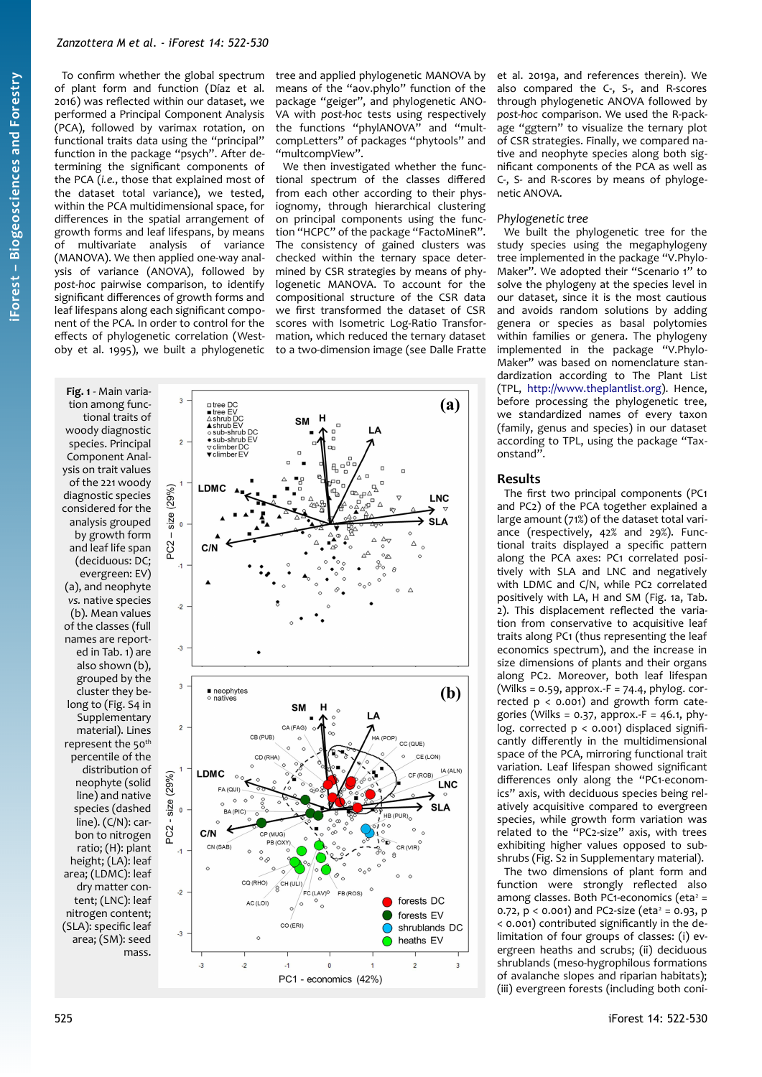## *Zanzottera M et al. - iForest 14: 522-530*

To confirm whether the global spectrum of plant form and function (Díaz et al. 2016) was reflected within our dataset, we performed a Principal Component Analysis (PCA), followed by varimax rotation, on functional traits data using the "principal" function in the package "psych". After determining the significant components of the PCA (*i.e.*, those that explained most of the dataset total variance), we tested, within the PCA multidimensional space, for differences in the spatial arrangement of growth forms and leaf lifespans, by means of multivariate analysis of variance (MANOVA). We then applied one-way analysis of variance (ANOVA), followed by *post-hoc* pairwise comparison, to identify significant differences of growth forms and leaf lifespans along each significant component of the PCA. In order to control for the effects of phylogenetic correlation (Westoby et al. 1995), we built a phylogenetic

tree and applied phylogenetic MANOVA by means of the "aov.phylo" function of the package "geiger", and phylogenetic ANO-VA with *post-hoc* tests using respectively the functions "phylANOVA" and "multcompLetters" of packages "phytools" and "multcompView".

We then investigated whether the functional spectrum of the classes differed from each other according to their physiognomy, through hierarchical clustering on principal components using the function "HCPC" of the package "FactoMineR". The consistency of gained clusters was checked within the ternary space determined by CSR strategies by means of phylogenetic MANOVA. To account for the compositional structure of the CSR data we first transformed the dataset of CSR scores with Isometric Log-Ratio Transformation, which reduced the ternary dataset to a two-dimension image (see Dalle Fratte

<span id="page-3-0"></span>**Fig. 1** - Main variation among functional traits of woody diagnostic species. Principal Component Analysis on trait values of the 221 woody diagnostic species considered for the analysis grouped by growth form and leaf life span (deciduous: DC; evergreen: EV) (a), and neophyte *vs.* native species (b). Mean values of the classes (full names are reported in [Tab. 1\)](#page-2-0) are also shown (b), grouped by the cluster they belong to (Fig. S4 in Supplementary material). Lines represent the 50<sup>th</sup> percentile of the distribution of neophyte (solid line) and native species (dashed line). (C/N): carbon to nitrogen ratio; (H): plant height; (LA): leaf area; (LDMC): leaf dry matter content; (LNC): leaf nitrogen content; (SLA): specific leaf area; (SM): seed mass.



et al. 2019a, and references therein). We also compared the C-, S-, and R-scores through phylogenetic ANOVA followed by *post-hoc* comparison. We used the R-package "ggtern" to visualize the ternary plot of CSR strategies. Finally, we compared native and neophyte species along both significant components of the PCA as well as C-, S- and R-scores by means of phylogenetic ANOVA.

## *Phylogenetic tree*

We built the phylogenetic tree for the study species using the megaphylogeny tree implemented in the package "V.Phylo-Maker". We adopted their "Scenario 1" to solve the phylogeny at the species level in our dataset, since it is the most cautious and avoids random solutions by adding genera or species as basal polytomies within families or genera. The phylogeny implemented in the package "V.Phylo-Maker" was based on nomenclature standardization according to The Plant List (TPL, [http://www.theplantlist.org](http://www.theplantlist.org/)). Hence, before processing the phylogenetic tree, we standardized names of every taxon (family, genus and species) in our dataset according to TPL, using the package "Taxonstand".

## **Results**

The first two principal components (PC1 and PC2) of the PCA together explained a large amount (71%) of the dataset total variance (respectively, 42% and 29%). Functional traits displayed a specific pattern along the PCA axes: PC1 correlated positively with SLA and LNC and negatively with LDMC and C/N, while PC2 correlated positively with LA, H and SM [\(Fig. 1](#page-3-0)a, [Tab.](#page-4-0) [2\)](#page-4-0). This displacement reflected the variation from conservative to acquisitive leaf traits along PC1 (thus representing the leaf economics spectrum), and the increase in size dimensions of plants and their organs along PC2. Moreover, both leaf lifespan (Wilks =  $0.59$ , approx.-F = 74.4, phylog. corrected p < 0.001) and growth form categories (Wilks =  $0.37$ , approx.-F = 46.1, phylog. corrected  $p < 0.001$ ) displaced significantly differently in the multidimensional space of the PCA, mirroring functional trait variation. Leaf lifespan showed significant differences only along the "PC1-economics" axis, with deciduous species being relatively acquisitive compared to evergreen species, while growth form variation was related to the "PC2-size" axis, with trees exhibiting higher values opposed to subshrubs (Fig. S2 in Supplementary material).

The two dimensions of plant form and function were strongly reflected also among classes. Both PC1-economics (eta $2$  = 0.72,  $p < 0.001$ ) and PC2-size (eta<sup>2</sup> = 0.93, p < 0.001) contributed significantly in the delimitation of four groups of classes: (i) evergreen heaths and scrubs; (ii) deciduous shrublands (meso-hygrophilous formations of avalanche slopes and riparian habitats); (iii) evergreen forests (including both coni-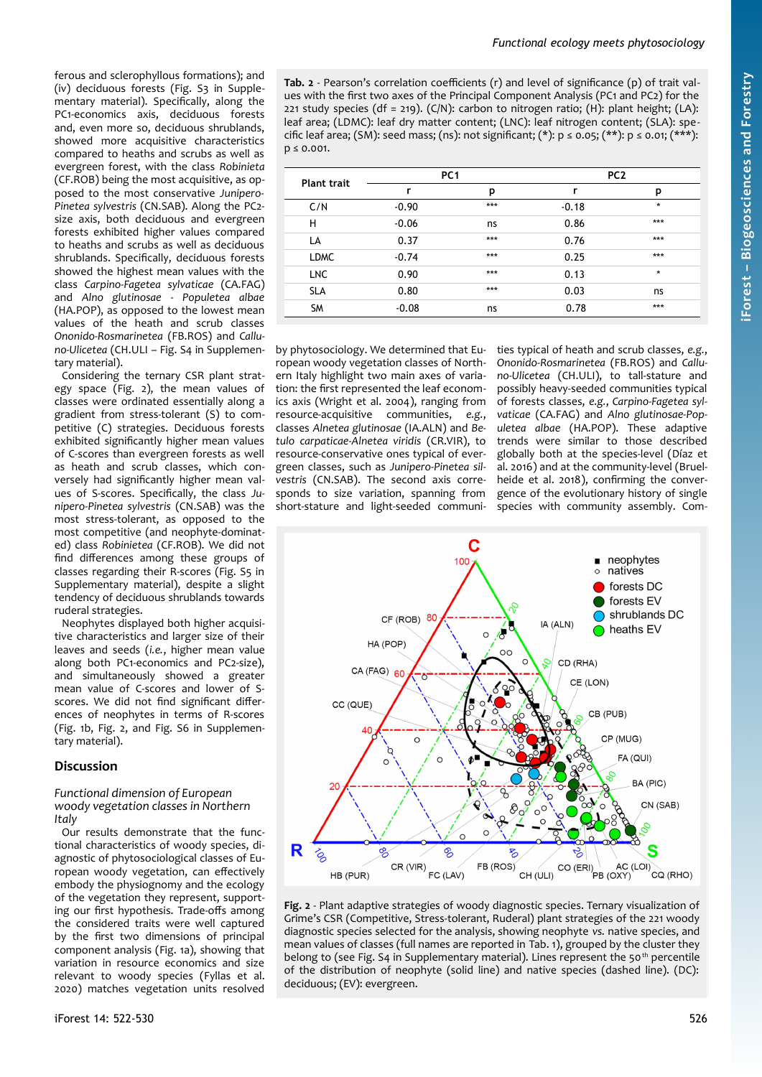ferous and sclerophyllous formations); and (iv) deciduous forests (Fig. S3 in Supplementary material). Specifically, along the PC1-economics axis, deciduous forests and, even more so, deciduous shrublands, showed more acquisitive characteristics compared to heaths and scrubs as well as evergreen forest, with the class *Robinieta* (CF.ROB) being the most acquisitive, as opposed to the most conservative *Junipero-Pinetea sylvestris* (CN.SAB). Along the PC2 size axis, both deciduous and evergreen forests exhibited higher values compared to heaths and scrubs as well as deciduous shrublands. Specifically, deciduous forests showed the highest mean values with the class *Carpino-Fagetea sylvaticae* (CA.FAG) and *Alno glutinosae - Populetea albae* (HA.POP), as opposed to the lowest mean values of the heath and scrub classes *Ononido-Rosmarinetea* (FB.ROS) and *Calluno-Ulicetea* (CH.ULI – Fig. S4 in Supplementary material).

Considering the ternary CSR plant strategy space  $(Fig. 2)$  $(Fig. 2)$ , the mean values of classes were ordinated essentially along a gradient from stress-tolerant (S) to competitive (C) strategies. Deciduous forests exhibited significantly higher mean values of C-scores than evergreen forests as well as heath and scrub classes, which conversely had significantly higher mean values of S-scores. Specifically, the class *Junipero-Pinetea sylvestris* (CN.SAB) was the most stress-tolerant, as opposed to the most competitive (and neophyte-dominated) class *Robinietea* (CF.ROB). We did not find differences among these groups of classes regarding their R-scores (Fig. S5 in Supplementary material), despite a slight tendency of deciduous shrublands towards ruderal strategies.

Neophytes displayed both higher acquisitive characteristics and larger size of their leaves and seeds (*i.e.*, higher mean value along both PC1-economics and PC2-size), and simultaneously showed a greater mean value of C-scores and lower of Sscores. We did not find significant differences of neophytes in terms of R-scores ([Fig. 1](#page-3-0)b, [Fig. 2,](#page-4-1) and Fig. S6 in Supplementary material).

# **Discussion**

#### *Functional dimension of European woody vegetation classes in Northern Italy*

Our results demonstrate that the functional characteristics of woody species, diagnostic of phytosociological classes of European woody vegetation, can effectively embody the physiognomy and the ecology of the vegetation they represent, supporting our first hypothesis. Trade-offs among the considered traits were well captured by the first two dimensions of principal component analysis [\(Fig. 1a](#page-3-0)), showing that variation in resource economics and size relevant to woody species (Fyllas et al. 2020) matches vegetation units resolved

<span id="page-4-0"></span>**Tab. 2** - Pearson's correlation coefficients (r) and level of significance (p) of trait values with the first two axes of the Principal Component Analysis (PC1 and PC2) for the 221 study species (df = 219). (C/N): carbon to nitrogen ratio; (H): plant height; (LA): leaf area; (LDMC): leaf dry matter content; (LNC): leaf nitrogen content; (SLA): specific leaf area; (SM): seed mass; (ns): not significant; (\*):  $p \le 0.05$ ; (\*\*):  $p \le 0.01$ ; (\*\*\*):  $p \le 0.001$ .

| <b>Plant trait</b> | PC <sub>1</sub> |     | PC <sub>2</sub> |         |
|--------------------|-----------------|-----|-----------------|---------|
|                    | r               | р   | r               | р       |
| C/N                | $-0.90$         | *** | $-0.18$         | $\star$ |
| н                  | $-0.06$         | ns  | 0.86            | ***     |
| LA                 | 0.37            | *** | 0.76            | ***     |
| <b>LDMC</b>        | $-0.74$         | *** | 0.25            | ***     |
| <b>LNC</b>         | 0.90            | *** | 0.13            | $\star$ |
| <b>SLA</b>         | 0.80            | *** | 0.03            | ns      |
| <b>SM</b>          | $-0.08$         | ns  | 0.78            | ***     |

by phytosociology. We determined that European woody vegetation classes of Northern Italy highlight two main axes of variation: the first represented the leaf economics axis (Wright et al. 2004), ranging from resource-acquisitive communities, *e.g.*, classes *Alnetea glutinosae* (IA.ALN) and *Betulo carpaticae-Alnetea viridis* (CR.VIR), to resource-conservative ones typical of evergreen classes, such as *Junipero-Pinetea silvestris* (CN.SAB). The second axis corresponds to size variation, spanning from short-stature and light-seeded communities typical of heath and scrub classes, *e.g.*, *Ononido-Rosmarinetea* (FB.ROS) and *Calluno-Ulicetea* (CH.ULI), to tall-stature and possibly heavy-seeded communities typical of forests classes, *e.g.*, *Carpino-Fagetea sylvaticae* (CA.FAG) and *Alno glutinosae-Populetea albae* (HA.POP). These adaptive trends were similar to those described globally both at the species-level (Díaz et al. 2016) and at the community-level (Bruelheide et al. 2018), confirming the convergence of the evolutionary history of single species with community assembly. Com-



<span id="page-4-1"></span>**Fig. 2** - Plant adaptive strategies of woody diagnostic species. Ternary visualization of Grime's CSR (Competitive, Stress-tolerant, Ruderal) plant strategies of the 221 woody diagnostic species selected for the analysis, showing neophyte *vs.* native species, and mean values of classes (full names are reported in [Tab. 1](#page-2-0)), grouped by the cluster they belong to (see Fig. S4 in Supplementary material). Lines represent the 50<sup>th</sup> percentile of the distribution of neophyte (solid line) and native species (dashed line). (DC): deciduous; (EV): evergreen.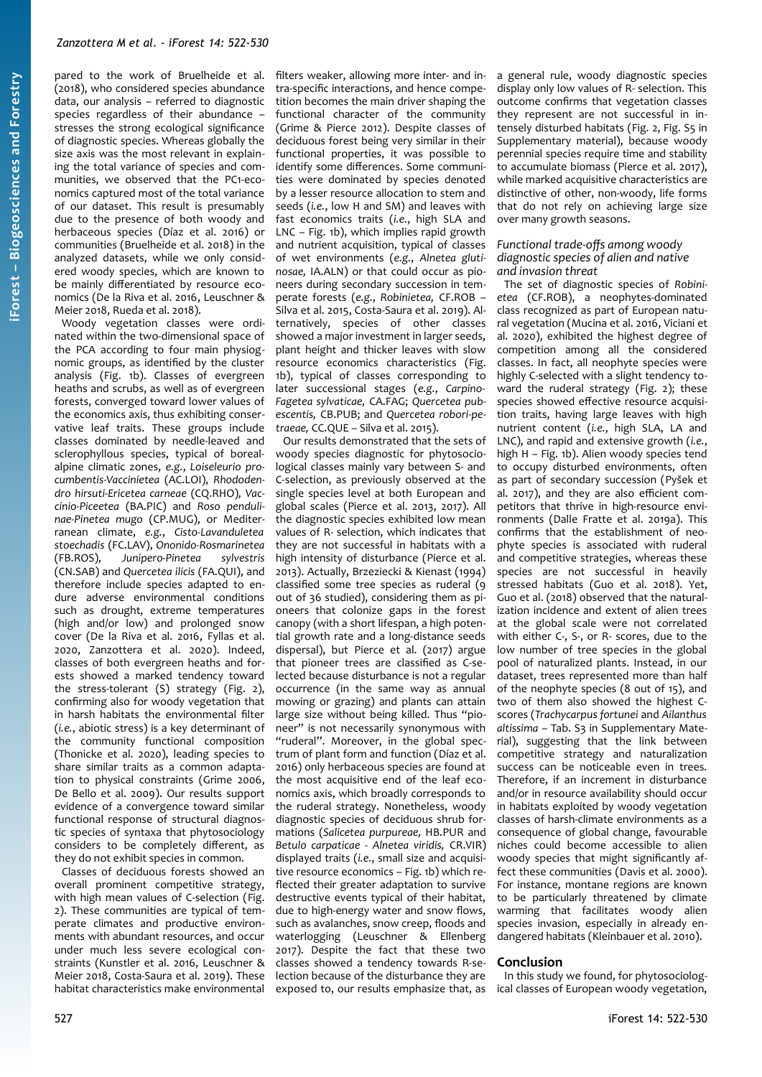pared to the work of Bruelheide et al. (2018), who considered species abundance data, our analysis – referred to diagnostic species regardless of their abundance – stresses the strong ecological significance of diagnostic species. Whereas globally the size axis was the most relevant in explaining the total variance of species and communities, we observed that the PC1-economics captured most of the total variance of our dataset. This result is presumably due to the presence of both woody and herbaceous species (Díaz et al. 2016) or communities (Bruelheide et al. 2018) in the analyzed datasets, while we only considered woody species, which are known to be mainly differentiated by resource economics (De la Riva et al. 2016, Leuschner & Meier 2018, Rueda et al. 2018).

Woody vegetation classes were ordinated within the two-dimensional space of the PCA according to four main physiognomic groups, as identified by the cluster analysis [\(Fig. 1](#page-3-0)b). Classes of evergreen heaths and scrubs, as well as of evergreen forests, converged toward lower values of the economics axis, thus exhibiting conservative leaf traits. These groups include classes dominated by needle-leaved and sclerophyllous species, typical of borealalpine climatic zones, *e.g.*, *Loiseleurio procumbentis-Vaccinietea* (AC.LOI), *Rhododendro hirsuti-Ericetea carneae* (CQ.RHO)*, Vaccinio-Piceetea* (BA.PIC) and *Roso pendulinae-Pinetea mugo* (CP.MUG), or Mediterranean climate, *e.g.*, *Cisto-Lavanduletea stoechadis* (FC.LAV), *Ononido-Rosmarinetea* (FB.ROS)*, Junipero-Pinetea sylvestris* (CN.SAB) and *Quercetea ilicis* (FA.QUI), and therefore include species adapted to endure adverse environmental conditions such as drought, extreme temperatures (high and/or low) and prolonged snow cover (De la Riva et al. 2016, Fyllas et al. 2020, Zanzottera et al. 2020). Indeed, classes of both evergreen heaths and forests showed a marked tendency toward the stress-tolerant (S) strategy [\(Fig. 2\)](#page-4-1), confirming also for woody vegetation that in harsh habitats the environmental filter (*i.e.*, abiotic stress) is a key determinant of the community functional composition (Thonicke et al. 2020), leading species to share similar traits as a common adaptation to physical constraints (Grime 2006, De Bello et al. 2009). Our results support evidence of a convergence toward similar functional response of structural diagnostic species of syntaxa that phytosociology considers to be completely different, as they do not exhibit species in common.

Classes of deciduous forests showed an overall prominent competitive strategy, with high mean values of C-selection [\(Fig.](#page-4-1) [2\)](#page-4-1). These communities are typical of temperate climates and productive environments with abundant resources, and occur under much less severe ecological constraints (Kunstler et al. 2016, Leuschner & Meier 2018, Costa-Saura et al. 2019). These habitat characteristics make environmental filters weaker, allowing more inter- and intra-specific interactions, and hence competition becomes the main driver shaping the functional character of the community (Grime & Pierce 2012). Despite classes of deciduous forest being very similar in their functional properties, it was possible to identify some differences. Some communities were dominated by species denoted by a lesser resource allocation to stem and seeds (*i.e.*, low H and SM) and leaves with fast economics traits (*i.e.*, high SLA and LNC – [Fig. 1b](#page-3-0)), which implies rapid growth and nutrient acquisition, typical of classes of wet environments (*e.g.*, *Alnetea glutinosae,* IA.ALN) or that could occur as pioneers during secondary succession in temperate forests (*e.g.*, *Robinietea,* CF.ROB – Silva et al. 2015, Costa-Saura et al. 2019). Alternatively, species of other classes showed a major investment in larger seeds, plant height and thicker leaves with slow resource economics characteristics [\(Fig.](#page-3-0) [1b](#page-3-0)), typical of classes corresponding to later successional stages (*e.g.*, *Carpino-Fagetea sylvaticae,* CA.FAG; *Quercetea pubescentis,* CB.PUB; and *Quercetea robori-petraeae,* CC.QUE – Silva et al. 2015).

Our results demonstrated that the sets of woody species diagnostic for phytosociological classes mainly vary between S- and C-selection, as previously observed at the single species level at both European and global scales (Pierce et al. 2013, 2017). All the diagnostic species exhibited low mean values of R- selection, which indicates that they are not successful in habitats with a high intensity of disturbance (Pierce et al. 2013). Actually, Brzeziecki & Kienast (1994) classified some tree species as ruderal (9 out of 36 studied), considering them as pioneers that colonize gaps in the forest canopy (with a short lifespan, a high potential growth rate and a long-distance seeds dispersal), but Pierce et al. (2017) argue that pioneer trees are classified as C-selected because disturbance is not a regular occurrence (in the same way as annual mowing or grazing) and plants can attain large size without being killed. Thus "pioneer" is not necessarily synonymous with "ruderal". Moreover, in the global spectrum of plant form and function (Díaz et al. 2016) only herbaceous species are found at the most acquisitive end of the leaf economics axis, which broadly corresponds to the ruderal strategy. Nonetheless, woody diagnostic species of deciduous shrub formations (*Salicetea purpureae,* HB.PUR and *Betulo carpaticae - Alnetea viridis,* CR.VIR) displayed traits (*i.e.*, small size and acquisitive resource economics – [Fig. 1b](#page-3-0)) which reflected their greater adaptation to survive destructive events typical of their habitat, due to high-energy water and snow flows, such as avalanches, snow creep, floods and waterlogging (Leuschner & Ellenberg 2017). Despite the fact that these two classes showed a tendency towards R-selection because of the disturbance they are exposed to, our results emphasize that, as a general rule, woody diagnostic species display only low values of R- selection. This outcome confirms that vegetation classes they represent are not successful in intensely disturbed habitats ([Fig. 2,](#page-4-1) Fig. S5 in Supplementary material), because woody perennial species require time and stability to accumulate biomass (Pierce et al. 2017), while marked acquisitive characteristics are distinctive of other, non-woody, life forms that do not rely on achieving large size over many growth seasons.

#### *Functional trade-offs among woody diagnostic species of alien and native and invasion threat*

The set of diagnostic species of *Robinietea* (CF.ROB), a neophytes-dominated class recognized as part of European natural vegetation (Mucina et al. 2016, Viciani et al. 2020), exhibited the highest degree of competition among all the considered classes. In fact, all neophyte species were highly C-selected with a slight tendency toward the ruderal strategy ([Fig. 2](#page-4-1)); these species showed effective resource acquisition traits, having large leaves with high nutrient content (*i.e.*, high SLA, LA and LNC), and rapid and extensive growth (*i.e.*, high H – [Fig. 1b](#page-3-0)). Alien woody species tend to occupy disturbed environments, often as part of secondary succession (Pyšek et al. 2017), and they are also efficient competitors that thrive in high-resource environments (Dalle Fratte et al. 2019a). This confirms that the establishment of neophyte species is associated with ruderal and competitive strategies, whereas these species are not successful in heavily stressed habitats (Guo et al. 2018). Yet, Guo et al. (2018) observed that the naturalization incidence and extent of alien trees at the global scale were not correlated with either C-, S-, or R- scores, due to the low number of tree species in the global pool of naturalized plants. Instead, in our dataset, trees represented more than half of the neophyte species (8 out of 15), and two of them also showed the highest Cscores (*Trachycarpus fortunei* and *Ailanthus altissima* – Tab. S3 in Supplementary Material), suggesting that the link between competitive strategy and naturalization success can be noticeable even in trees. Therefore, if an increment in disturbance and/or in resource availability should occur in habitats exploited by woody vegetation classes of harsh-climate environments as a consequence of global change, favourable niches could become accessible to alien woody species that might significantly affect these communities (Davis et al. 2000). For instance, montane regions are known to be particularly threatened by climate warming that facilitates woody alien species invasion, especially in already endangered habitats (Kleinbauer et al. 2010).

## **Conclusion**

In this study we found, for phytosociological classes of European woody vegetation,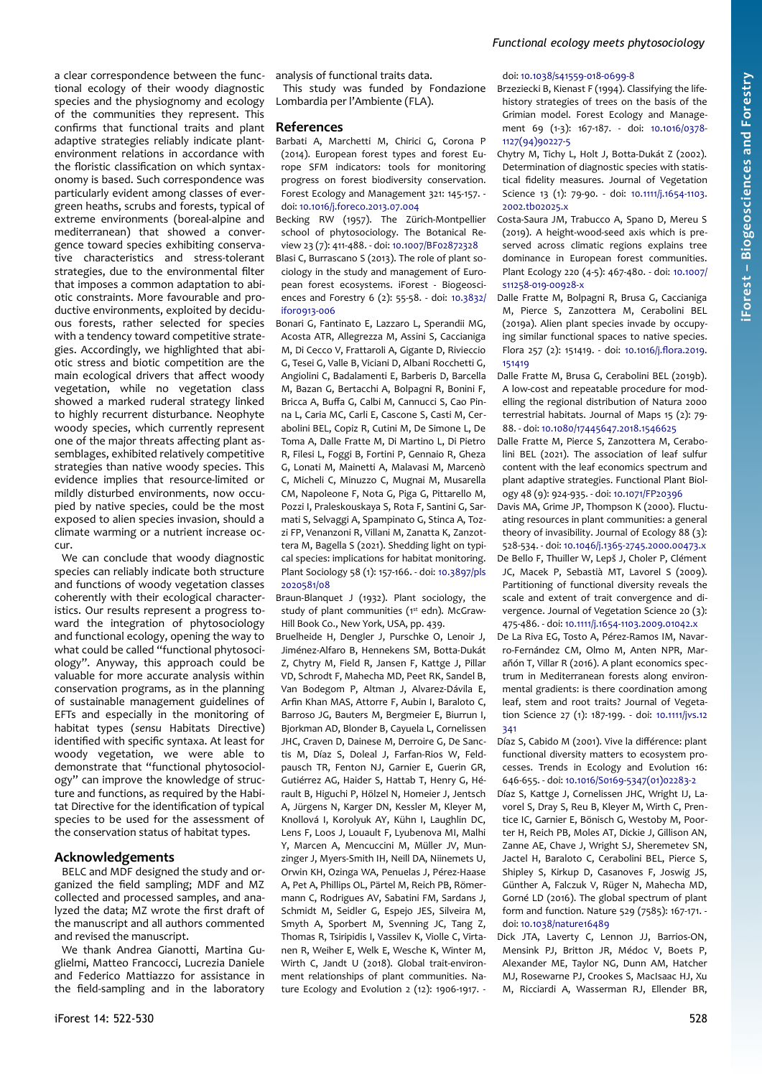tional ecology of their woody diagnostic species and the physiognomy and ecology of the communities they represent. This confirms that functional traits and plant adaptive strategies reliably indicate plantenvironment relations in accordance with the floristic classification on which syntaxonomy is based. Such correspondence was particularly evident among classes of evergreen heaths, scrubs and forests, typical of extreme environments (boreal-alpine and mediterranean) that showed a convergence toward species exhibiting conservative characteristics and stress-tolerant strategies, due to the environmental filter that imposes a common adaptation to abiotic constraints. More favourable and productive environments, exploited by deciduous forests, rather selected for species with a tendency toward competitive strategies. Accordingly, we highlighted that abiotic stress and biotic competition are the main ecological drivers that affect woody vegetation, while no vegetation class showed a marked ruderal strategy linked to highly recurrent disturbance. Neophyte woody species, which currently represent one of the major threats affecting plant assemblages, exhibited relatively competitive strategies than native woody species. This evidence implies that resource-limited or mildly disturbed environments, now occupied by native species, could be the most exposed to alien species invasion, should a climate warming or a nutrient increase occur.

a clear correspondence between the func-

We can conclude that woody diagnostic species can reliably indicate both structure and functions of woody vegetation classes coherently with their ecological characteristics. Our results represent a progress toward the integration of phytosociology and functional ecology, opening the way to what could be called "functional phytosociology". Anyway, this approach could be valuable for more accurate analysis within conservation programs, as in the planning of sustainable management guidelines of EFTs and especially in the monitoring of habitat types (*sensu* Habitats Directive) identified with specific syntaxa. At least for woody vegetation, we were able to demonstrate that "functional phytosociology" can improve the knowledge of structure and functions, as required by the Habitat Directive for the identification of typical species to be used for the assessment of the conservation status of habitat types.

## **Acknowledgements**

BELC and MDF designed the study and organized the field sampling; MDF and MZ collected and processed samples, and analyzed the data; MZ wrote the first draft of the manuscript and all authors commented and revised the manuscript.

We thank Andrea Gianotti, Martina Guglielmi, Matteo Francocci, Lucrezia Daniele and Federico Mattiazzo for assistance in the field-sampling and in the laboratory

analysis of functional traits data.

This study was funded by Fondazione Lombardia per l'Ambiente (FLA).

#### **References**

Barbati A, Marchetti M, Chirici G, Corona P (2014). European forest types and forest Europe SFM indicators: tools for monitoring progress on forest biodiversity conservation. Forest Ecology and Management 321: 145-157. doi: [10.1016/j.foreco.2013.07.004](https://doi.org/10.1016/j.foreco.2013.07.004)

Becking RW (1957). The Zürich-Montpellier school of phytosociology. The Botanical Review 23 (7): 411-488. - doi: [10.1007/BF02872328](https://doi.org/10.1007/BF02872328) Blasi C, Burrascano S (2013). The role of plant sociology in the study and management of European forest ecosystems. iForest - Biogeosciences and Forestry 6 (2): 55-58. - doi: [10.3832/](https://doi.org/10.3832/ifor0913-006) [ifor0913-006](https://doi.org/10.3832/ifor0913-006)

Bonari G, Fantinato E, Lazzaro L, Sperandii MG, Acosta ATR, Allegrezza M, Assini S, Caccianiga M, Di Cecco V, Frattaroli A, Gigante D, Rivieccio G, Tesei G, Valle B, Viciani D, Albani Rocchetti G, Angiolini C, Badalamenti E, Barberis D, Barcella M, Bazan G, Bertacchi A, Bolpagni R, Bonini F, Bricca A, Buffa G, Calbi M, Cannucci S, Cao Pinna L, Caria MC, Carli E, Cascone S, Casti M, Cerabolini BEL, Copiz R, Cutini M, De Simone L, De Toma A, Dalle Fratte M, Di Martino L, Di Pietro R, Filesi L, Foggi B, Fortini P, Gennaio R, Gheza G, Lonati M, Mainetti A, Malavasi M, Marcenò C, Micheli C, Minuzzo C, Mugnai M, Musarella CM, Napoleone F, Nota G, Piga G, Pittarello M, Pozzi I, Praleskouskaya S, Rota F, Santini G, Sarmati S, Selvaggi A, Spampinato G, Stinca A, Tozzi FP, Venanzoni R, Villani M, Zanatta K, Zanzottera M, Bagella S (2021). Shedding light on typical species: implications for habitat monitoring. Plant Sociology 58 (1): 157-166. - doi: [10.3897/pls](https://doi.org/10.3897/pls2020581/08) [2020581/08](https://doi.org/10.3897/pls2020581/08)

Braun-Blanquet J (1932). Plant sociology, the study of plant communities (1st edn). McGraw-Hill Book Co., New York, USA, pp. 439.

Bruelheide H, Dengler J, Purschke O, Lenoir J, Jiménez-Alfaro B, Hennekens SM, Botta-Dukát Z, Chytry M, Field R, Jansen F, Kattge J, Pillar VD, Schrodt F, Mahecha MD, Peet RK, Sandel B, Van Bodegom P, Altman J, Alvarez-Dávila E, Arfin Khan MAS, Attorre F, Aubin I, Baraloto C, Barroso JG, Bauters M, Bergmeier E, Biurrun I, Bjorkman AD, Blonder B, Cayuela L, Cornelissen JHC, Craven D, Dainese M, Derroire G, De Sanctis M, Díaz S, Doleal J, Farfan-Rios W, Feldpausch TR, Fenton NJ, Garnier E, Guerin GR, Gutiérrez AG, Haider S, Hattab T, Henry G, Hérault B, Higuchi P, Hölzel N, Homeier J, Jentsch A, Jürgens N, Karger DN, Kessler M, Kleyer M, Knollová I, Korolyuk AY, Kühn I, Laughlin DC, Lens F, Loos J, Louault F, Lyubenova MI, Malhi Y, Marcen A, Mencuccini M, Müller JV, Munzinger J, Myers-Smith IH, Neill DA, Niinemets U, Orwin KH, Ozinga WA, Penuelas J, Pérez-Haase A, Pet A, Phillips OL, Pärtel M, Reich PB, Römermann C, Rodrigues AV, Sabatini FM, Sardans J, Schmidt M, Seidler G, Espejo JES, Silveira M, Smyth A, Sporbert M, Svenning JC, Tang Z, Thomas R, Tsiripidis I, Vassilev K, Violle C, Virtanen R, Weiher E, Welk E, Wesche K, Winter M, Wirth C, Jandt U (2018). Global trait-environment relationships of plant communities. Nature Ecology and Evolution 2 (12): 1906-1917. -

#### doi: [10.1038/s41559-018-0699-8](https://doi.org/10.1038/s41559-018-0699-8)

Brzeziecki B, Kienast F (1994). Classifying the lifehistory strategies of trees on the basis of the Grimian model. Forest Ecology and Management 69 (1-3): 167-187. - doi: [10.1016/0378-](https://doi.org/10.1016/0378-1127(94)90227-5) [1127\(94\)90227-5](https://doi.org/10.1016/0378-1127(94)90227-5)

*Functional ecology meets phytosociology*

Chytry M, Tichy L, Holt J, Botta-Dukát Z (2002). Determination of diagnostic species with statistical fidelity measures. Journal of Vegetation Science 13 (1): 79-90. - doi: [10.1111/j.1654-1103.](https://doi.org/10.1111/j.1654-1103.2002.tb02025.x) [2002.tb02025.x](https://doi.org/10.1111/j.1654-1103.2002.tb02025.x)

- Costa-Saura JM, Trabucco A, Spano D, Mereu S (2019). A height-wood-seed axis which is preserved across climatic regions explains tree dominance in European forest communities. Plant Ecology 220 (4-5): 467-480. - doi: [10.1007/](https://doi.org/10.1007/s11258-019-00928-x) [s11258-019-00928-x](https://doi.org/10.1007/s11258-019-00928-x)
- Dalle Fratte M, Bolpagni R, Brusa G, Caccianiga M, Pierce S, Zanzottera M, Cerabolini BEL (2019a). Alien plant species invade by occupying similar functional spaces to native species. Flora 257 (2): 151419. - doi: [10.1016/j.flora.2019.](https://doi.org/10.1016/j.flora.2019.151419) [151419](https://doi.org/10.1016/j.flora.2019.151419)
- Dalle Fratte M, Brusa G, Cerabolini BEL (2019b). A low-cost and repeatable procedure for modelling the regional distribution of Natura 2000 terrestrial habitats. Journal of Maps 15 (2): 79- 88. - doi: [10.1080/17445647.2018.1546625](https://doi.org/10.1080/17445647.2018.1546625)
- Dalle Fratte M, Pierce S, Zanzottera M, Cerabolini BEL (2021). The association of leaf sulfur content with the leaf economics spectrum and plant adaptive strategies. Functional Plant Biology 48 (9): 924-935. - doi: [10.1071/FP20396](https://doi.org/10.1071/FP20396)
- Davis MA, Grime JP, Thompson K (2000). Fluctuating resources in plant communities: a general theory of invasibility. Journal of Ecology 88 (3): 528-534. - doi: [10.1046/j.1365-2745.2000.00473.x](https://doi.org/10.1046/j.1365-2745.2000.00473.x) De Bello F, Thuiller W, Lepš J, Choler P, Clément JC, Macek P, Sebastià MT, Lavorel S (2009). Partitioning of functional diversity reveals the scale and extent of trait convergence and divergence. Journal of Vegetation Science 20 (3): 475-486. - doi: [10.1111/j.1654-1103.2009.01042.x](https://doi.org/10.1111/j.1654-1103.2009.01042.x)
- De La Riva EG, Tosto A, Pérez-Ramos IM, Navarro-Fernández CM, Olmo M, Anten NPR, Marañón T, Villar R (2016). A plant economics spectrum in Mediterranean forests along environmental gradients: is there coordination among leaf, stem and root traits? Journal of Vegetation Science 27 (1): 187-199. - doi: [10.1111/jvs.12](https://doi.org/10.1111/jvs.12341) [341](https://doi.org/10.1111/jvs.12341)
- Díaz S, Cabido M (2001). Vive la différence: plant functional diversity matters to ecosystem processes. Trends in Ecology and Evolution 16: 646-655. - doi: [10.1016/S0169-5347\(01\)02283-2](https://doi.org/10.1016/S0169-5347(01)02283-2)
- Díaz S, Kattge J, Cornelissen JHC, Wright IJ, Lavorel S, Dray S, Reu B, Kleyer M, Wirth C, Prentice IC, Garnier E, Bönisch G, Westoby M, Poorter H, Reich PB, Moles AT, Dickie J, Gillison AN, Zanne AE, Chave J, Wright SJ, Sheremetev SN, Jactel H, Baraloto C, Cerabolini BEL, Pierce S, Shipley S, Kirkup D, Casanoves F, Joswig JS, Günther A, Falczuk V, Rüger N, Mahecha MD, Gorné LD (2016). The global spectrum of plant form and function. Nature 529 (7585): 167-171. doi: [10.1038/nature16489](https://doi.org/10.1038/nature16489)

Dick JTA, Laverty C, Lennon JJ, Barrios-ON, Mensink PJ, Britton JR, Médoc V, Boets P, Alexander ME, Taylor NG, Dunn AM, Hatcher MJ, Rosewarne PJ, Crookes S, MacIsaac HJ, Xu M, Ricciardi A, Wasserman RJ, Ellender BR,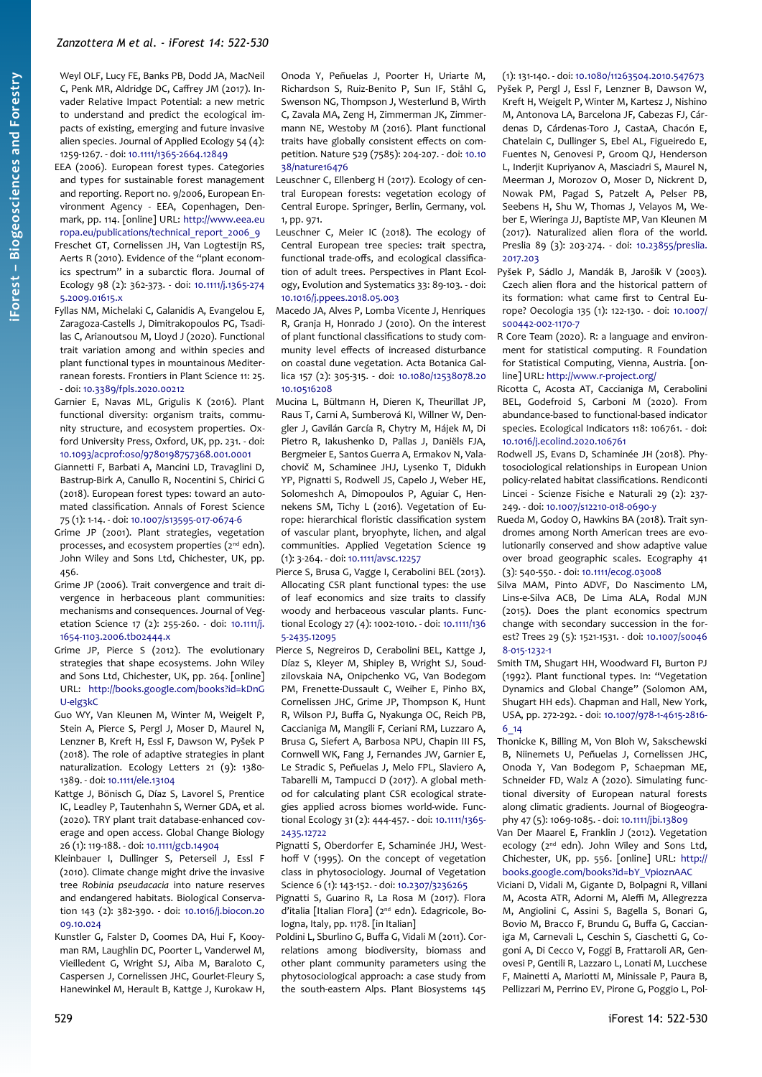Weyl OLF, Lucy FE, Banks PB, Dodd JA, MacNeil C, Penk MR, Aldridge DC, Caffrey JM (2017). Invader Relative Impact Potential: a new metric to understand and predict the ecological impacts of existing, emerging and future invasive alien species. Journal of Applied Ecology 54 (4): 1259-1267. - doi: [10.1111/1365-2664.12849](https://doi.org/10.1111/1365-2664.12849)

- EEA (2006). European forest types. Categories and types for sustainable forest management and reporting. Report no. 9/2006, European Environment Agency - EEA, Copenhagen, Denmark, pp. 114. [online] URL: [http://www.eea.eu](https://www.eea.europa.eu/publications/technical_report_2006_9) [ropa.eu/publications/technical\\_report\\_2006\\_9](https://www.eea.europa.eu/publications/technical_report_2006_9)
- Freschet GT, Cornelissen JH, Van Logtestijn RS, Aerts R (2010). Evidence of the "plant economics spectrum" in a subarctic flora. Journal of Ecology 98 (2): 362-373. - doi: [10.1111/j.1365-274](https://doi.org/10.1111/j.1365-2745.2009.01615.x) [5.2009.01615.x](https://doi.org/10.1111/j.1365-2745.2009.01615.x)
- Fyllas NM, Michelaki C, Galanidis A, Evangelou E, Zaragoza-Castells J, Dimitrakopoulos PG, Tsadilas C, Arianoutsou M, Lloyd J (2020). Functional trait variation among and within species and plant functional types in mountainous Mediterranean forests. Frontiers in Plant Science 11: 25. - doi: [10.3389/fpls.2020.00212](https://doi.org/10.3389/fpls.2020.00212)
- Garnier E, Navas ML, Grigulis K (2016). Plant functional diversity: organism traits, community structure, and ecosystem properties. Oxford University Press, Oxford, UK, pp. 231. - doi: [10.1093/acprof:oso/9780198757368.001.0001](https://doi.org/10.1093/acprof:oso/9780198757368.001.0001)
- Giannetti F, Barbati A, Mancini LD, Travaglini D, Bastrup-Birk A, Canullo R, Nocentini S, Chirici G (2018). European forest types: toward an automated classification. Annals of Forest Science 75 (1): 1-14. - doi: [10.1007/s13595-017-0674-6](https://doi.org/10.1007/s13595-017-0674-6)
- Grime JP (2001). Plant strategies, vegetation processes, and ecosystem properties (2<sup>nd</sup> edn). John Wiley and Sons Ltd, Chichester, UK, pp. 456.
- Grime JP (2006). Trait convergence and trait divergence in herbaceous plant communities: mechanisms and consequences. Journal of Vegetation Science 17 (2): 255-260. - doi: [10.1111/j.](https://doi.org/10.1111/j.1654-1103.2006.tb02444.x) [1654-1103.2006.tb02444.x](https://doi.org/10.1111/j.1654-1103.2006.tb02444.x)
- Grime JP, Pierce S (2012). The evolutionary strategies that shape ecosystems. John Wiley and Sons Ltd, Chichester, UK, pp. 264. [online] URL: [http://books.google.com/books?id=kDnG](http://books.google.com/books?id=kDnGU-elg3kC) [U-elg3kC](http://books.google.com/books?id=kDnGU-elg3kC)
- Guo WY, Van Kleunen M, Winter M, Weigelt P, Stein A, Pierce S, Pergl J, Moser D, Maurel N, Lenzner B, Kreft H, Essl F, Dawson W, Pyšek P (2018). The role of adaptive strategies in plant naturalization. Ecology Letters 21 (9): 1380- 1389. - doi: [10.1111/ele.13104](https://doi.org/10.1111/ele.13104)
- Kattge J, Bönisch G, Díaz S, Lavorel S, Prentice IC, Leadley P, Tautenhahn S, Werner GDA, et al. (2020). TRY plant trait database-enhanced coverage and open access. Global Change Biology 26 (1): 119-188. - doi: [10.1111/gcb.14904](https://doi.org/10.1111/gcb.14904)
- Kleinbauer I, Dullinger S, Peterseil J, Essl F (2010). Climate change might drive the invasive tree *Robinia pseudacacia* into nature reserves and endangered habitats. Biological Conservation 143 (2): 382-390. - doi: [10.1016/j.biocon.20](https://doi.org/10.1016/j.biocon.2009.10.024) [09.10.024](https://doi.org/10.1016/j.biocon.2009.10.024)
- Kunstler G, Falster D, Coomes DA, Hui F, Kooyman RM, Laughlin DC, Poorter L, Vanderwel M, Vieilledent G, Wright SJ, Aiba M, Baraloto C, Caspersen J, Cornelissen JHC, Gourlet-Fleury S, Hanewinkel M, Herault B, Kattge J, Kurokaw H,

Onoda Y, Peñuelas J, Poorter H, Uriarte M, Richardson S, Ruiz-Benito P, Sun IF, Ståhl G, Swenson NG, Thompson J, Westerlund B, Wirth C, Zavala MA, Zeng H, Zimmerman JK, Zimmermann NE, Westoby M (2016). Plant functional traits have globally consistent effects on competition. Nature 529 (7585): 204-207. - doi: [10.10](https://doi.org/10.1038/nature16476) [38/nature16476](https://doi.org/10.1038/nature16476)

Leuschner C, Ellenberg H (2017). Ecology of central European forests: vegetation ecology of Central Europe. Springer, Berlin, Germany, vol. 1, pp. 971.

- Leuschner C, Meier IC (2018). The ecology of Central European tree species: trait spectra, functional trade-offs, and ecological classification of adult trees. Perspectives in Plant Ecology, Evolution and Systematics 33: 89-103. - doi: [10.1016/j.ppees.2018.05.003](https://doi.org/10.1016/j.ppees.2018.05.003)
- Macedo JA, Alves P, Lomba Vicente J, Henriques R, Granja H, Honrado J (2010). On the interest of plant functional classifications to study community level effects of increased disturbance on coastal dune vegetation. Acta Botanica Gallica 157 (2): 305-315. - doi: [10.1080/12538078.20](https://doi.org/10.1080/12538078.2010.10516208) [10.10516208](https://doi.org/10.1080/12538078.2010.10516208)
- Mucina L, Bültmann H, Dieren K, Theurillat JP, Raus T, Carni A, Sumberová KI, Willner W, Dengler J, Gavilán García R, Chytry M, Hájek M, Di Pietro R, Iakushenko D, Pallas J, Daniëls FJA, Bergmeier E, Santos Guerra A, Ermakov N, Valachovič M, Schaminee JHJ, Lysenko T, Didukh YP, Pignatti S, Rodwell JS, Capelo J, Weber HE, Solomeshch A, Dimopoulos P, Aguiar C, Hennekens SM, Tichy L (2016). Vegetation of Europe: hierarchical floristic classification system of vascular plant, bryophyte, lichen, and algal communities. Applied Vegetation Science 19 (1): 3-264. - doi: [10.1111/avsc.12257](https://doi.org/10.1111/avsc.12257)
- Pierce S, Brusa G, Vagge I, Cerabolini BEL (2013). Allocating CSR plant functional types: the use of leaf economics and size traits to classify woody and herbaceous vascular plants. Functional Ecology 27 (4): 1002-1010. - doi: [10.1111/136](https://doi.org/10.1111/1365-2435.12095) [5-2435.12095](https://doi.org/10.1111/1365-2435.12095)
- Pierce S, Negreiros D, Cerabolini BEL, Kattge J, Díaz S, Kleyer M, Shipley B, Wright SJ, Soudzilovskaia NA, Onipchenko VG, Van Bodegom PM, Frenette-Dussault C, Weiher E, Pinho BX, Cornelissen JHC, Grime JP, Thompson K, Hunt R, Wilson PJ, Buffa G, Nyakunga OC, Reich PB, Caccianiga M, Mangili F, Ceriani RM, Luzzaro A, Brusa G, Siefert A, Barbosa NPU, Chapin III FS, Cornwell WK, Fang J, Fernandes JW, Garnier E, Le Stradic S, Peñuelas J, Melo FPL, Slaviero A, Tabarelli M, Tampucci D (2017). A global method for calculating plant CSR ecological strategies applied across biomes world-wide. Functional Ecology 31 (2): 444-457. - doi: [10.1111/1365-](https://doi.org/10.1111/1365-2435.12722) [2435.12722](https://doi.org/10.1111/1365-2435.12722)
- Pignatti S, Oberdorfer E, Schaminée JHJ, Westhoff V (1995). On the concept of vegetation class in phytosociology. Journal of Vegetation Science 6 (1): 143-152. - doi: [10.2307/3236265](https://doi.org/10.2307/3236265)
- Pignatti S, Guarino R, La Rosa M (2017). Flora d'italia [Italian Flora] (2<sup>nd</sup> edn). Edagricole, Bologna, Italy, pp. 1178. [in Italian]
- Poldini L, Sburlino G, Buffa G, Vidali M (2011). Correlations among biodiversity, biomass and other plant community parameters using the phytosociological approach: a case study from the south-eastern Alps. Plant Biosystems 145

#### (1): 131-140. - doi: [10.1080/11263504.2010.547673](https://doi.org/10.1080/11263504.2010.547673) Pyšek P, Pergl J, Essl F, Lenzner B, Dawson W,

- Kreft H, Weigelt P, Winter M, Kartesz J, Nishino M, Antonova LA, Barcelona JF, Cabezas FJ, Cárdenas D, Cárdenas-Toro J, CastaA, Chacón E, Chatelain C, Dullinger S, Ebel AL, Figueiredo E, Fuentes N, Genovesi P, Groom QJ, Henderson L, Inderjit Kupriyanov A, Masciadri S, Maurel N, Meerman J, Morozov O, Moser D, Nickrent D, Nowak PM, Pagad S, Patzelt A, Pelser PB, Seebens H, Shu W, Thomas J, Velayos M, Weber E, Wieringa JJ, Baptiste MP, Van Kleunen M (2017). Naturalized alien flora of the world. Preslia 89 (3): 203-274. - doi: [10.23855/preslia.](https://doi.org/10.23855/preslia.2017.203) [2017.203](https://doi.org/10.23855/preslia.2017.203)
- Pyšek P, Sádlo J, Mandák B, Jarošík V (2003). Czech alien flora and the historical pattern of its formation: what came first to Central Europe? Oecologia 135 (1): 122-130. - doi: [10.1007/](https://doi.org/10.1007/s00442-002-1170-7) [s00442-002-1170-7](https://doi.org/10.1007/s00442-002-1170-7)
- R Core Team (2020). R: a language and environment for statistical computing. R Foundation for Statistical Computing, Vienna, Austria. [online] URL:<http://www.r-project.org/>
- Ricotta C, Acosta AT, Caccianiga M, Cerabolini BEL, Godefroid S, Carboni M (2020). From abundance-based to functional-based indicator species. Ecological Indicators 118: 106761. - doi: [10.1016/j.ecolind.2020.106761](https://doi.org/10.1016/j.ecolind.2020.106761)
- Rodwell JS, Evans D, Schaminée JH (2018). Phytosociological relationships in European Union policy-related habitat classifications. Rendiconti Lincei - Scienze Fisiche e Naturali 29 (2): 237- 249. - doi: [10.1007/s12210-018-0690-y](https://doi.org/10.1007/s12210-018-0690-y)
- Rueda M, Godoy O, Hawkins BA (2018). Trait syndromes among North American trees are evolutionarily conserved and show adaptive value over broad geographic scales. Ecography 41 (3): 540-550. - doi: [10.1111/ecog.03008](https://doi.org/10.1111/ecog.03008)
- Silva MAM, Pinto ADVF, Do Nascimento LM, Lins-e-Silva ACB, De Lima ALA, Rodal MJN (2015). Does the plant economics spectrum change with secondary succession in the forest? Trees 29 (5): 1521-1531. - doi: [10.1007/s0046](https://doi.org/10.1007/s00468-015-1232-1) [8-015-1232-1](https://doi.org/10.1007/s00468-015-1232-1)
- Smith TM, Shugart HH, Woodward FI, Burton PJ (1992). Plant functional types. In: "Vegetation Dynamics and Global Change" (Solomon AM, Shugart HH eds). Chapman and Hall, New York, USA, pp. 272-292. - doi: [10.1007/978-1-4615-2816-](https://doi.org/10.1007/978-1-4615-2816-6_14) [6\\_14](https://doi.org/10.1007/978-1-4615-2816-6_14)
- Thonicke K, Billing M, Von Bloh W, Sakschewski B, Niinemets U, Peñuelas J, Cornelissen JHC, Onoda Y, Van Bodegom P, Schaepman ME, Schneider FD, Walz A (2020). Simulating functional diversity of European natural forests along climatic gradients. Journal of Biogeography 47 (5): 1069-1085. - doi: [10.1111/jbi.13809](https://doi.org/10.1111/jbi.13809)
- Van Der Maarel E, Franklin J (2012). Vegetation ecology (2<sup>nd</sup> edn). John Wiley and Sons Ltd, Chichester, UK, pp. 556. [online] URL: [http://](http://books.google.com/books?id=bY_VpioznAAC) [books.google.com/books?id=bY\\_VpioznAAC](http://books.google.com/books?id=bY_VpioznAAC)
- Viciani D, Vidali M, Gigante D, Bolpagni R, Villani M, Acosta ATR, Adorni M, Aleffi M, Allegrezza M, Angiolini C, Assini S, Bagella S, Bonari G, Bovio M, Bracco F, Brundu G, Buffa G, Caccianiga M, Carnevali L, Ceschin S, Ciaschetti G, Cogoni A, Di Cecco V, Foggi B, Frattaroli AR, Genovesi P, Gentili R, Lazzaro L, Lonati M, Lucchese F, Mainetti A, Mariotti M, Minissale P, Paura B, Pellizzari M, Perrino EV, Pirone G, Poggio L, Pol-